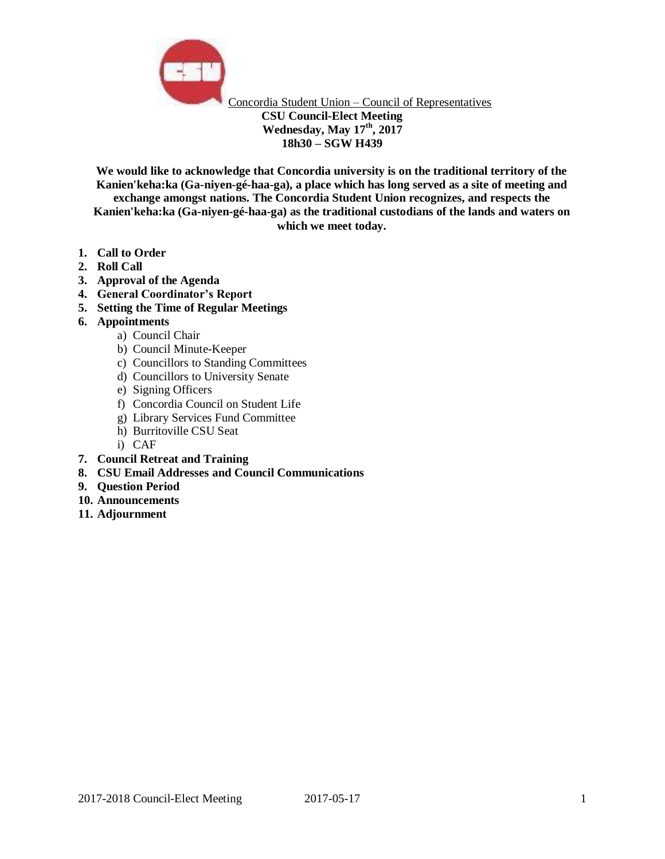

Concordia Student Union – Council of Representatives **CSU Council-Elect Meeting Wednesday, May 17th, 2017 18h30 – SGW H439**

**We would like to acknowledge that Concordia university is on the traditional territory of the Kanien'keha:ka (Ga-niyen-gé-haa-ga), a place which has long served as a site of meeting and exchange amongst nations. The Concordia Student Union recognizes, and respects the Kanien'keha:ka (Ga-niyen-gé-haa-ga) as the traditional custodians of the lands and waters on which we meet today.**

- **1. Call to Order**
- **2. Roll Call**
- **3. Approval of the Agenda**
- **4. General Coordinator's Report**
- **5. Setting the Time of Regular Meetings**
- **6. Appointments** 
	- a) Council Chair
	- b) Council Minute-Keeper
	- c) Councillors to Standing Committees
	- d) Councillors to University Senate
	- e) Signing Officers
	- f) Concordia Council on Student Life
	- g) Library Services Fund Committee
	- h) Burritoville CSU Seat
	- i) CAF
- **7. Council Retreat and Training**
- **8. CSU Email Addresses and Council Communications**
- **9. Question Period**
- **10. Announcements**
- **11. Adjournment**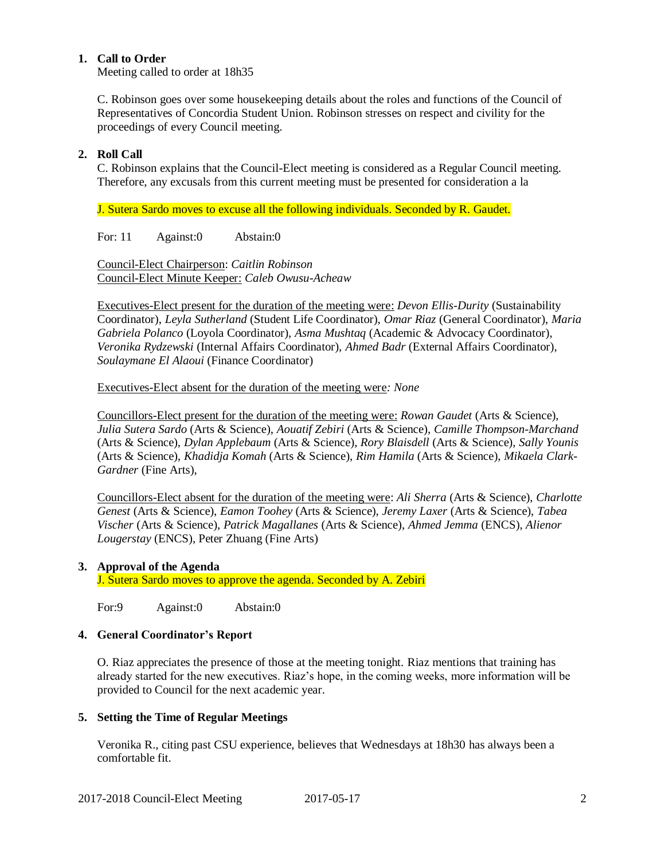# **1. Call to Order**

Meeting called to order at 18h35

C. Robinson goes over some housekeeping details about the roles and functions of the Council of Representatives of Concordia Student Union. Robinson stresses on respect and civility for the proceedings of every Council meeting.

# **2. Roll Call**

C. Robinson explains that the Council-Elect meeting is considered as a Regular Council meeting. Therefore, any excusals from this current meeting must be presented for consideration a la

J. Sutera Sardo moves to excuse all the following individuals. Seconded by R. Gaudet.

For: 11 Against:0 Abstain:0

Council-Elect Chairperson: *Caitlin Robinson* Council-Elect Minute Keeper: *Caleb Owusu-Acheaw*

Executives-Elect present for the duration of the meeting were: *Devon Ellis-Durity* (Sustainability Coordinator), *Leyla Sutherland* (Student Life Coordinator), *Omar Riaz* (General Coordinator), *Maria Gabriela Polanco* (Loyola Coordinator), *Asma Mushtaq* (Academic & Advocacy Coordinator), *Veronika Rydzewski* (Internal Affairs Coordinator), *Ahmed Badr* (External Affairs Coordinator)*, Soulaymane El Alaoui* (Finance Coordinator)

Executives-Elect absent for the duration of the meeting were*: None*

Councillors-Elect present for the duration of the meeting were: *Rowan Gaudet* (Arts & Science), *Julia Sutera Sardo* (Arts & Science), *Aouatif Zebiri* (Arts & Science), *Camille Thompson-Marchand* (Arts & Science), *Dylan Applebaum* (Arts & Science), *Rory Blaisdell* (Arts & Science), *Sally Younis* (Arts & Science), *Khadidja Komah* (Arts & Science), *Rim Hamila* (Arts & Science), *Mikaela Clark-Gardner* (Fine Arts),

Councillors-Elect absent for the duration of the meeting were: *Ali Sherra* (Arts & Science), *Charlotte Genest* (Arts & Science), *Eamon Toohey* (Arts & Science), *Jeremy Laxer* (Arts & Science), *Tabea Vischer* (Arts & Science), *Patrick Magallanes* (Arts & Science), *Ahmed Jemma* (ENCS), *Alienor Lougerstay* (ENCS), Peter Zhuang (Fine Arts)

### **3. Approval of the Agenda**

J. Sutera Sardo moves to approve the agenda. Seconded by A. Zebiri

For:9 Against:0 Abstain:0

### **4. General Coordinator's Report**

O. Riaz appreciates the presence of those at the meeting tonight. Riaz mentions that training has already started for the new executives. Riaz's hope, in the coming weeks, more information will be provided to Council for the next academic year.

# **5. Setting the Time of Regular Meetings**

Veronika R., citing past CSU experience, believes that Wednesdays at 18h30 has always been a comfortable fit.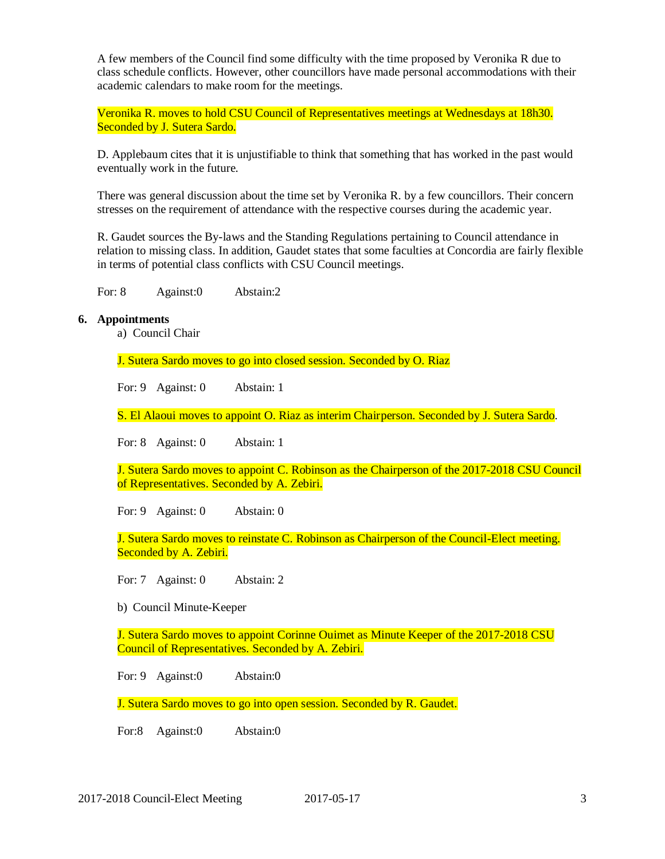A few members of the Council find some difficulty with the time proposed by Veronika R due to class schedule conflicts. However, other councillors have made personal accommodations with their academic calendars to make room for the meetings.

Veronika R. moves to hold CSU Council of Representatives meetings at Wednesdays at 18h30. Seconded by J. Sutera Sardo.

D. Applebaum cites that it is unjustifiable to think that something that has worked in the past would eventually work in the future.

There was general discussion about the time set by Veronika R. by a few councillors. Their concern stresses on the requirement of attendance with the respective courses during the academic year.

R. Gaudet sources the By-laws and the Standing Regulations pertaining to Council attendance in relation to missing class. In addition, Gaudet states that some faculties at Concordia are fairly flexible in terms of potential class conflicts with CSU Council meetings.

For: 8 Against: 0 Abstain: 2

#### **6. Appointments**

a) Council Chair

J. Sutera Sardo moves to go into closed session. Seconded by O. Riaz

For: 9 Against: 0 Abstain: 1

S. El Alaoui moves to appoint O. Riaz as interim Chairperson. Seconded by J. Sutera Sardo.

For: 8 Against: 0 Abstain: 1

J. Sutera Sardo moves to appoint C. Robinson as the Chairperson of the 2017-2018 CSU Council of Representatives. Seconded by A. Zebiri.

For: 9 Against: 0 Abstain: 0

J. Sutera Sardo moves to reinstate C. Robinson as Chairperson of the Council-Elect meeting. Seconded by A. Zebiri.

For: 7 Against: 0 Abstain: 2

b) Council Minute-Keeper

J. Sutera Sardo moves to appoint Corinne Ouimet as Minute Keeper of the 2017-2018 CSU Council of Representatives. Seconded by A. Zebiri.

For: 9 Against:0 Abstain:0

J. Sutera Sardo moves to go into open session. Seconded by R. Gaudet.

For:8 Against:0 Abstain:0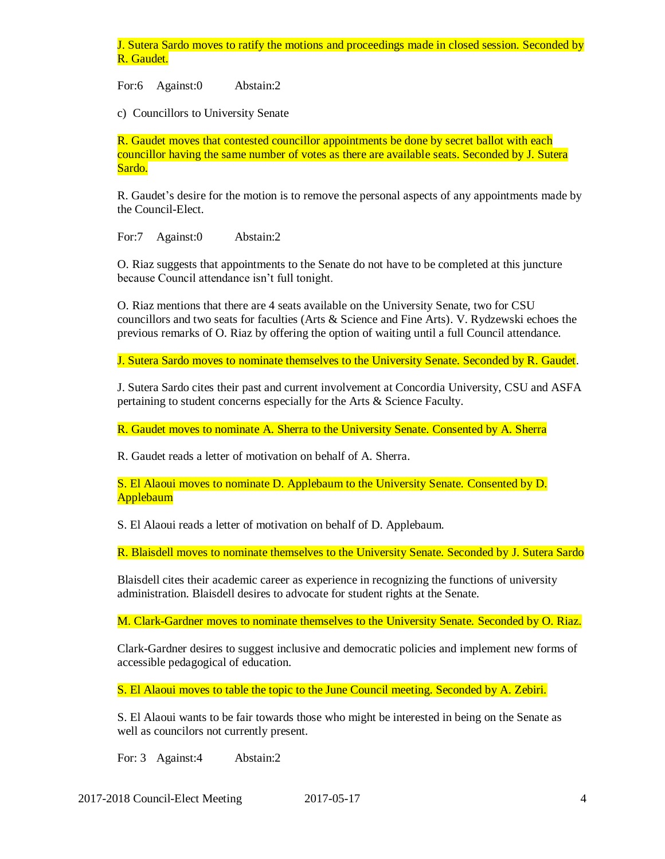J. Sutera Sardo moves to ratify the motions and proceedings made in closed session. Seconded by R. Gaudet.

For:6 Against:0 Abstain:2

c) Councillors to University Senate

R. Gaudet moves that contested councillor appointments be done by secret ballot with each councillor having the same number of votes as there are available seats. Seconded by J. Sutera Sardo.

R. Gaudet's desire for the motion is to remove the personal aspects of any appointments made by the Council-Elect.

For:7 Against:0 Abstain:2

O. Riaz suggests that appointments to the Senate do not have to be completed at this juncture because Council attendance isn't full tonight.

O. Riaz mentions that there are 4 seats available on the University Senate, two for CSU councillors and two seats for faculties (Arts & Science and Fine Arts). V. Rydzewski echoes the previous remarks of O. Riaz by offering the option of waiting until a full Council attendance.

J. Sutera Sardo moves to nominate themselves to the University Senate. Seconded by R. Gaudet.

J. Sutera Sardo cites their past and current involvement at Concordia University, CSU and ASFA pertaining to student concerns especially for the Arts & Science Faculty.

R. Gaudet moves to nominate A. Sherra to the University Senate. Consented by A. Sherra

R. Gaudet reads a letter of motivation on behalf of A. Sherra.

S. El Alaoui moves to nominate D. Applebaum to the University Senate. Consented by D. Applebaum

S. El Alaoui reads a letter of motivation on behalf of D. Applebaum.

R. Blaisdell moves to nominate themselves to the University Senate. Seconded by J. Sutera Sardo

Blaisdell cites their academic career as experience in recognizing the functions of university administration. Blaisdell desires to advocate for student rights at the Senate.

M. Clark-Gardner moves to nominate themselves to the University Senate. Seconded by O. Riaz.

Clark-Gardner desires to suggest inclusive and democratic policies and implement new forms of accessible pedagogical of education.

S. El Alaoui moves to table the topic to the June Council meeting. Seconded by A. Zebiri.

S. El Alaoui wants to be fair towards those who might be interested in being on the Senate as well as councilors not currently present.

For: 3 Against:4 Abstain:2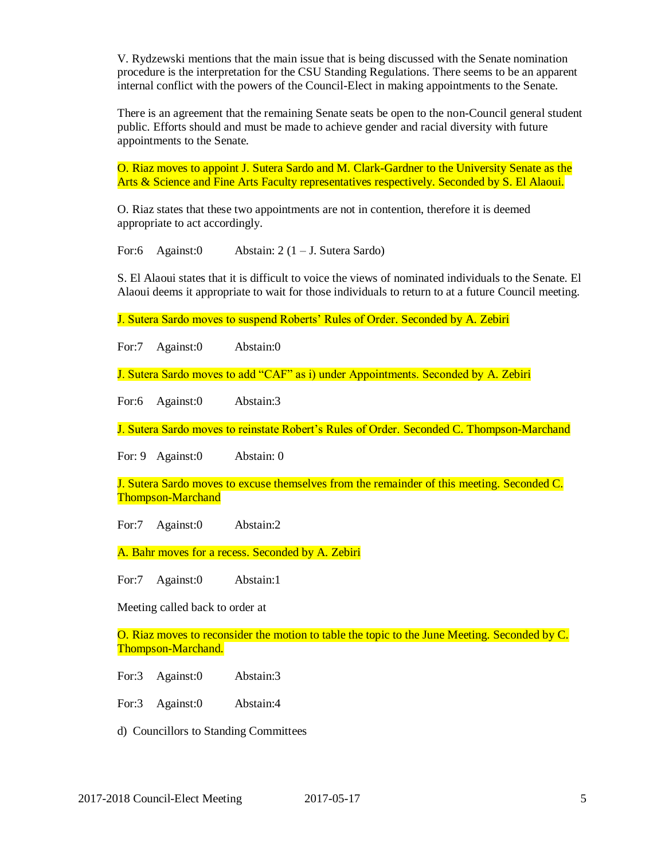V. Rydzewski mentions that the main issue that is being discussed with the Senate nomination procedure is the interpretation for the CSU Standing Regulations. There seems to be an apparent internal conflict with the powers of the Council-Elect in making appointments to the Senate.

There is an agreement that the remaining Senate seats be open to the non-Council general student public. Efforts should and must be made to achieve gender and racial diversity with future appointments to the Senate.

O. Riaz moves to appoint J. Sutera Sardo and M. Clark-Gardner to the University Senate as the Arts & Science and Fine Arts Faculty representatives respectively. Seconded by S. El Alaoui.

O. Riaz states that these two appointments are not in contention, therefore it is deemed appropriate to act accordingly.

For:6 Against:0 Abstain: 2 (1 – J. Sutera Sardo)

S. El Alaoui states that it is difficult to voice the views of nominated individuals to the Senate. El Alaoui deems it appropriate to wait for those individuals to return to at a future Council meeting.

J. Sutera Sardo moves to suspend Roberts' Rules of Order. Seconded by A. Zebiri

For:7 Against:0 Abstain:0

J. Sutera Sardo moves to add "CAF" as i) under Appointments. Seconded by A. Zebiri

For:6 Against:0 Abstain:3

J. Sutera Sardo moves to reinstate Robert's Rules of Order. Seconded C. Thompson-Marchand

For: 9 Against:0 Abstain: 0

J. Sutera Sardo moves to excuse themselves from the remainder of this meeting. Seconded C. Thompson-Marchand

For:7 Against:0 Abstain:2

A. Bahr moves for a recess. Seconded by A. Zebiri

For:7 Against:0 Abstain:1

Meeting called back to order at

O. Riaz moves to reconsider the motion to table the topic to the June Meeting. Seconded by C. Thompson-Marchand.

For:3 Against:0 Abstain:3

For:3 Against:0 Abstain:4

d) Councillors to Standing Committees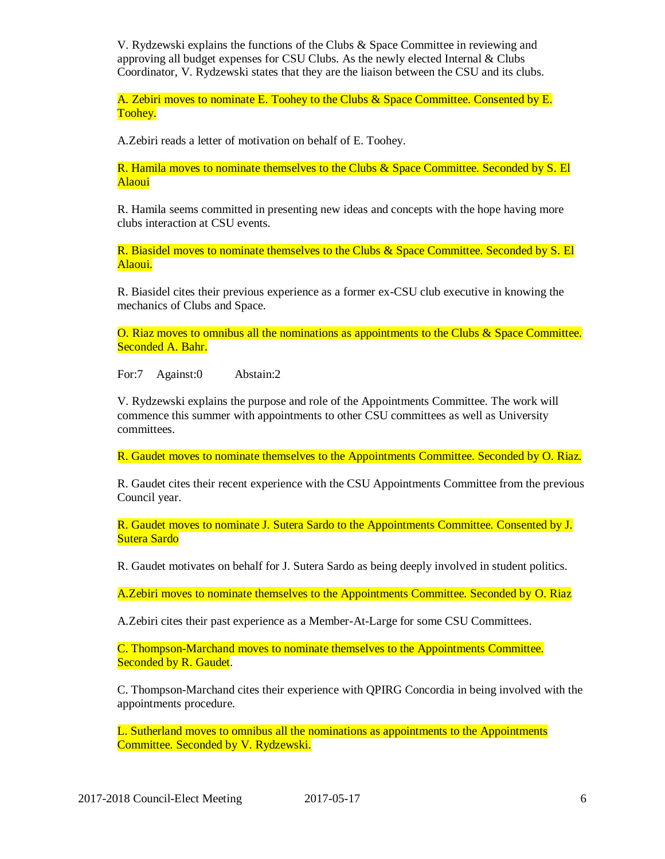V. Rydzewski explains the functions of the Clubs & Space Committee in reviewing and approving all budget expenses for CSU Clubs. As the newly elected Internal  $& Clubs$ Coordinator, V. Rydzewski states that they are the liaison between the CSU and its clubs.

A. Zebiri moves to nominate E. Toohey to the Clubs & Space Committee. Consented by E. Toohey.

A.Zebiri reads a letter of motivation on behalf of E. Toohey.

R. Hamila moves to nominate themselves to the Clubs & Space Committee. Seconded by S. El Alaoui

R. Hamila seems committed in presenting new ideas and concepts with the hope having more clubs interaction at CSU events.

R. Biasidel moves to nominate themselves to the Clubs & Space Committee. Seconded by S. El Alaoui.

R. Biasidel cites their previous experience as a former ex-CSU club executive in knowing the mechanics of Clubs and Space.

O. Riaz moves to omnibus all the nominations as appointments to the Clubs & Space Committee. Seconded A. Bahr.

For:7 Against:0 Abstain:2

V. Rydzewski explains the purpose and role of the Appointments Committee. The work will commence this summer with appointments to other CSU committees as well as University committees.

R. Gaudet moves to nominate themselves to the Appointments Committee. Seconded by O. Riaz.

R. Gaudet cites their recent experience with the CSU Appointments Committee from the previous Council year.

R. Gaudet moves to nominate J. Sutera Sardo to the Appointments Committee. Consented by J. Sutera Sardo

R. Gaudet motivates on behalf for J. Sutera Sardo as being deeply involved in student politics.

A.Zebiri moves to nominate themselves to the Appointments Committee. Seconded by O. Riaz

A.Zebiri cites their past experience as a Member-At-Large for some CSU Committees.

C. Thompson-Marchand moves to nominate themselves to the Appointments Committee. Seconded by R. Gaudet.

C. Thompson-Marchand cites their experience with QPIRG Concordia in being involved with the appointments procedure.

L. Sutherland moves to omnibus all the nominations as appointments to the Appointments Committee. Seconded by V. Rydzewski.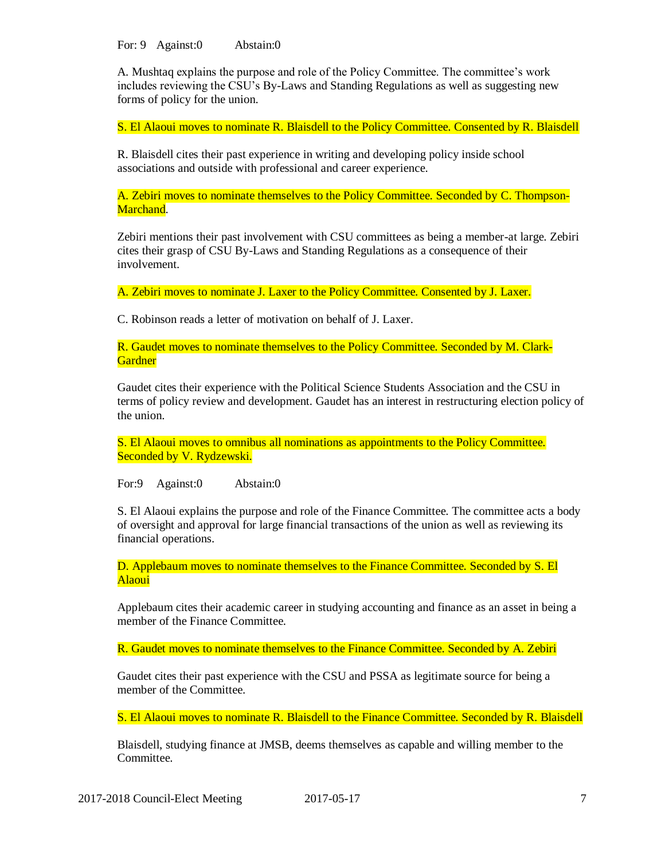For: 9 Against: 0 Abstain: 0

A. Mushtaq explains the purpose and role of the Policy Committee. The committee's work includes reviewing the CSU's By-Laws and Standing Regulations as well as suggesting new forms of policy for the union.

S. El Alaoui moves to nominate R. Blaisdell to the Policy Committee. Consented by R. Blaisdell

R. Blaisdell cites their past experience in writing and developing policy inside school associations and outside with professional and career experience.

A. Zebiri moves to nominate themselves to the Policy Committee. Seconded by C. Thompson-Marchand.

Zebiri mentions their past involvement with CSU committees as being a member-at large. Zebiri cites their grasp of CSU By-Laws and Standing Regulations as a consequence of their involvement.

A. Zebiri moves to nominate J. Laxer to the Policy Committee. Consented by J. Laxer.

C. Robinson reads a letter of motivation on behalf of J. Laxer.

R. Gaudet moves to nominate themselves to the Policy Committee. Seconded by M. Clark-**Gardner** 

Gaudet cites their experience with the Political Science Students Association and the CSU in terms of policy review and development. Gaudet has an interest in restructuring election policy of the union.

S. El Alaoui moves to omnibus all nominations as appointments to the Policy Committee. Seconded by V. Rydzewski.

For:9 Against:0 Abstain:0

S. El Alaoui explains the purpose and role of the Finance Committee. The committee acts a body of oversight and approval for large financial transactions of the union as well as reviewing its financial operations.

D. Applebaum moves to nominate themselves to the Finance Committee. Seconded by S. El Alaoui

Applebaum cites their academic career in studying accounting and finance as an asset in being a member of the Finance Committee.

R. Gaudet moves to nominate themselves to the Finance Committee. Seconded by A. Zebiri

Gaudet cites their past experience with the CSU and PSSA as legitimate source for being a member of the Committee.

S. El Alaoui moves to nominate R. Blaisdell to the Finance Committee. Seconded by R. Blaisdell

Blaisdell, studying finance at JMSB, deems themselves as capable and willing member to the Committee.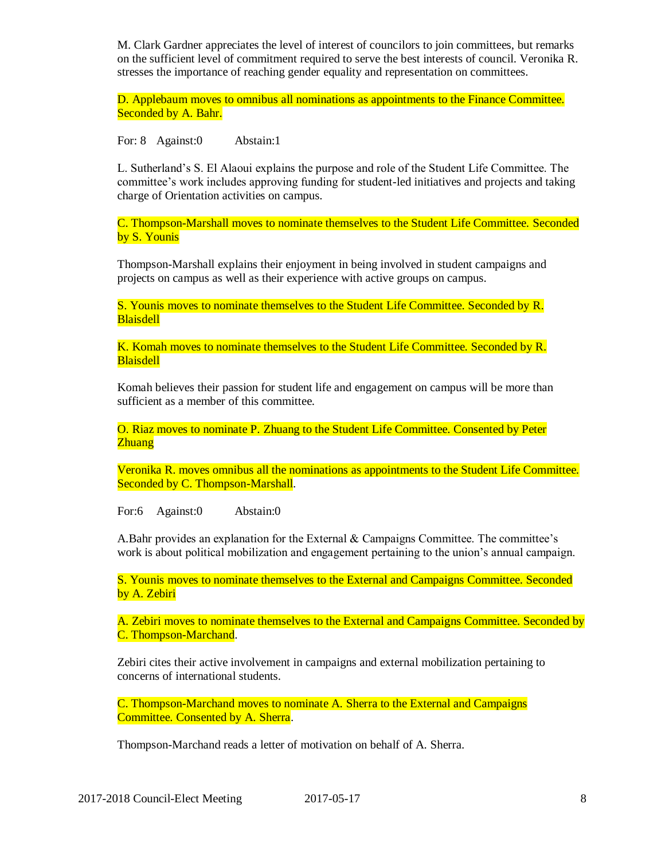M. Clark Gardner appreciates the level of interest of councilors to join committees, but remarks on the sufficient level of commitment required to serve the best interests of council. Veronika R. stresses the importance of reaching gender equality and representation on committees.

D. Applebaum moves to omnibus all nominations as appointments to the Finance Committee. Seconded by A. Bahr.

For: 8 Against:0 Abstain:1

L. Sutherland's S. El Alaoui explains the purpose and role of the Student Life Committee. The committee's work includes approving funding for student-led initiatives and projects and taking charge of Orientation activities on campus.

C. Thompson-Marshall moves to nominate themselves to the Student Life Committee. Seconded by S. Younis

Thompson-Marshall explains their enjoyment in being involved in student campaigns and projects on campus as well as their experience with active groups on campus.

S. Younis moves to nominate themselves to the Student Life Committee. Seconded by R. Blaisdell

K. Komah moves to nominate themselves to the Student Life Committee. Seconded by R. **Blaisdell** 

Komah believes their passion for student life and engagement on campus will be more than sufficient as a member of this committee.

O. Riaz moves to nominate P. Zhuang to the Student Life Committee. Consented by Peter Zhuang

Veronika R. moves omnibus all the nominations as appointments to the Student Life Committee. Seconded by C. Thompson-Marshall.

For:6 Against:0 Abstain:0

A.Bahr provides an explanation for the External  $&$  Campaigns Committee. The committee's work is about political mobilization and engagement pertaining to the union's annual campaign.

S. Younis moves to nominate themselves to the External and Campaigns Committee. Seconded by A. Zebiri

A. Zebiri moves to nominate themselves to the External and Campaigns Committee. Seconded by C. Thompson-Marchand.

Zebiri cites their active involvement in campaigns and external mobilization pertaining to concerns of international students.

C. Thompson-Marchand moves to nominate A. Sherra to the External and Campaigns Committee. Consented by A. Sherra.

Thompson-Marchand reads a letter of motivation on behalf of A. Sherra.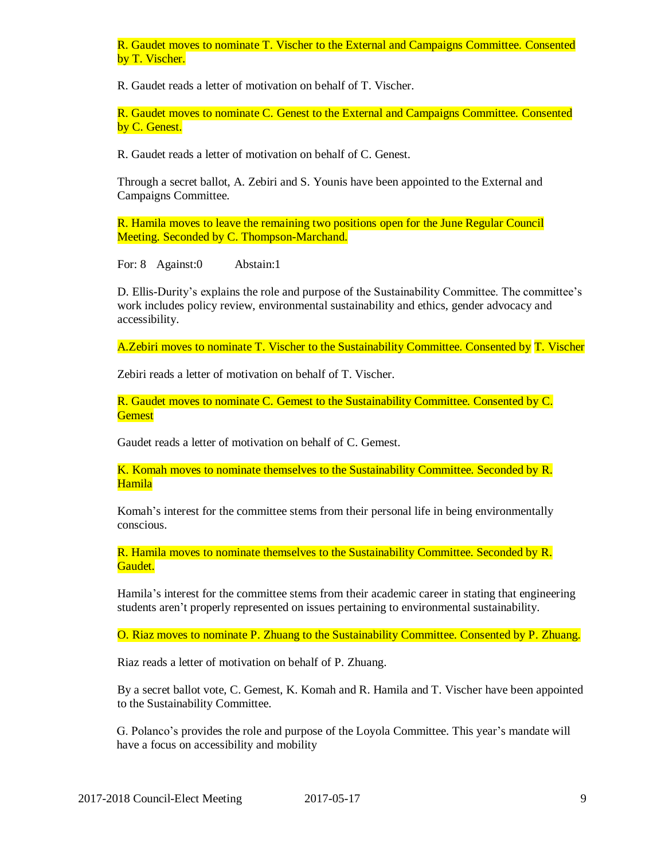R. Gaudet moves to nominate T. Vischer to the External and Campaigns Committee. Consented by T. Vischer.

R. Gaudet reads a letter of motivation on behalf of T. Vischer.

R. Gaudet moves to nominate C. Genest to the External and Campaigns Committee. Consented by C. Genest.

R. Gaudet reads a letter of motivation on behalf of C. Genest.

Through a secret ballot, A. Zebiri and S. Younis have been appointed to the External and Campaigns Committee.

R. Hamila moves to leave the remaining two positions open for the June Regular Council Meeting. Seconded by C. Thompson-Marchand.

For: 8 Against:0 Abstain:1

D. Ellis-Durity's explains the role and purpose of the Sustainability Committee. The committee's work includes policy review, environmental sustainability and ethics, gender advocacy and accessibility.

A.Zebiri moves to nominate T. Vischer to the Sustainability Committee. Consented by T. Vischer

Zebiri reads a letter of motivation on behalf of T. Vischer.

R. Gaudet moves to nominate C. Gemest to the Sustainability Committee. Consented by C. **Gemest** 

Gaudet reads a letter of motivation on behalf of C. Gemest.

K. Komah moves to nominate themselves to the Sustainability Committee. Seconded by R. Hamila

Komah's interest for the committee stems from their personal life in being environmentally conscious.

R. Hamila moves to nominate themselves to the Sustainability Committee. Seconded by R. Gaudet.

Hamila's interest for the committee stems from their academic career in stating that engineering students aren't properly represented on issues pertaining to environmental sustainability.

O. Riaz moves to nominate P. Zhuang to the Sustainability Committee. Consented by P. Zhuang.

Riaz reads a letter of motivation on behalf of P. Zhuang.

By a secret ballot vote, C. Gemest, K. Komah and R. Hamila and T. Vischer have been appointed to the Sustainability Committee.

G. Polanco's provides the role and purpose of the Loyola Committee. This year's mandate will have a focus on accessibility and mobility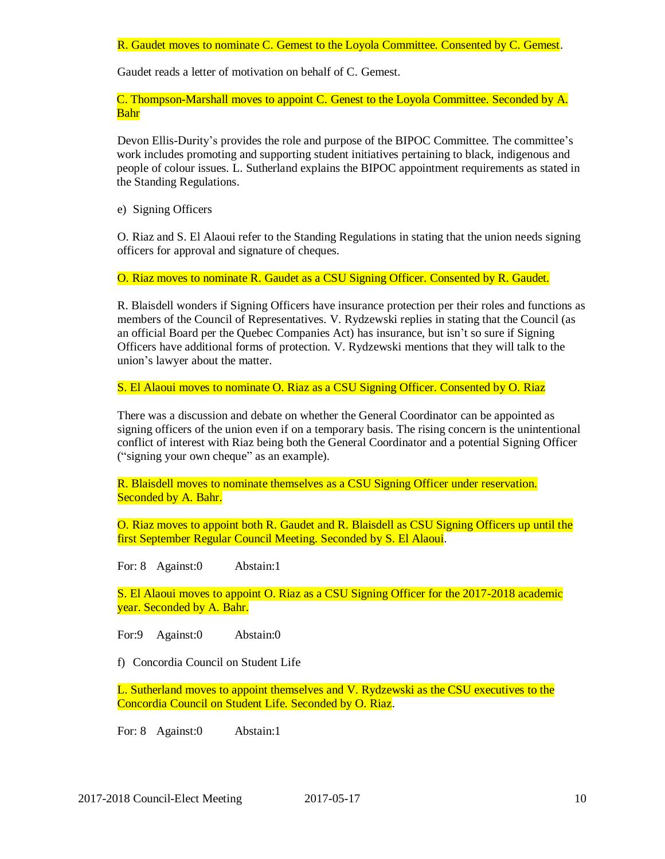R. Gaudet moves to nominate C. Gemest to the Loyola Committee. Consented by C. Gemest.

Gaudet reads a letter of motivation on behalf of C. Gemest.

C. Thompson-Marshall moves to appoint C. Genest to the Loyola Committee. Seconded by A. Bahr

Devon Ellis-Durity's provides the role and purpose of the BIPOC Committee. The committee's work includes promoting and supporting student initiatives pertaining to black, indigenous and people of colour issues. L. Sutherland explains the BIPOC appointment requirements as stated in the Standing Regulations.

e) Signing Officers

O. Riaz and S. El Alaoui refer to the Standing Regulations in stating that the union needs signing officers for approval and signature of cheques.

O. Riaz moves to nominate R. Gaudet as a CSU Signing Officer. Consented by R. Gaudet.

R. Blaisdell wonders if Signing Officers have insurance protection per their roles and functions as members of the Council of Representatives. V. Rydzewski replies in stating that the Council (as an official Board per the Quebec Companies Act) has insurance, but isn't so sure if Signing Officers have additional forms of protection. V. Rydzewski mentions that they will talk to the union's lawyer about the matter.

S. El Alaoui moves to nominate O. Riaz as a CSU Signing Officer. Consented by O. Riaz

There was a discussion and debate on whether the General Coordinator can be appointed as signing officers of the union even if on a temporary basis. The rising concern is the unintentional conflict of interest with Riaz being both the General Coordinator and a potential Signing Officer ("signing your own cheque" as an example).

R. Blaisdell moves to nominate themselves as a CSU Signing Officer under reservation. Seconded by A. Bahr.

O. Riaz moves to appoint both R. Gaudet and R. Blaisdell as CSU Signing Officers up until the first September Regular Council Meeting. Seconded by S. El Alaoui.

For: 8 Against:0 Abstain:1

S. El Alaoui moves to appoint O. Riaz as a CSU Signing Officer for the 2017-2018 academic year. Seconded by A. Bahr.

For:9 Against:0 Abstain:0

f) Concordia Council on Student Life

L. Sutherland moves to appoint themselves and V. Rydzewski as the CSU executives to the Concordia Council on Student Life. Seconded by O. Riaz.

For: 8 Against:0 Abstain:1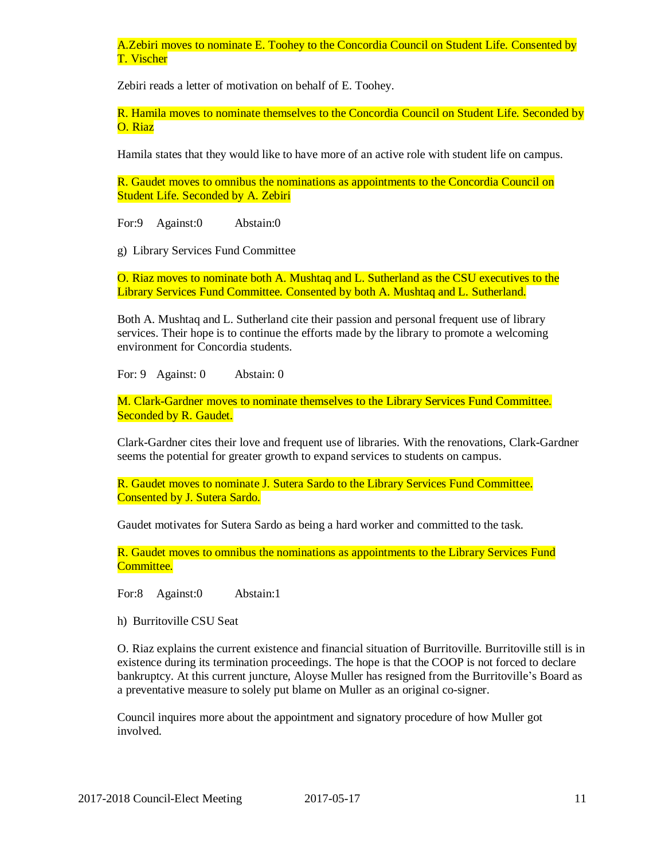A.Zebiri moves to nominate E. Toohey to the Concordia Council on Student Life. Consented by T. Vischer

Zebiri reads a letter of motivation on behalf of E. Toohey.

R. Hamila moves to nominate themselves to the Concordia Council on Student Life. Seconded by O. Riaz

Hamila states that they would like to have more of an active role with student life on campus.

R. Gaudet moves to omnibus the nominations as appointments to the Concordia Council on Student Life. Seconded by A. Zebiri

For:9 Against:0 Abstain:0

g) Library Services Fund Committee

O. Riaz moves to nominate both A. Mushtaq and L. Sutherland as the CSU executives to the Library Services Fund Committee. Consented by both A. Mushtaq and L. Sutherland.

Both A. Mushtaq and L. Sutherland cite their passion and personal frequent use of library services. Their hope is to continue the efforts made by the library to promote a welcoming environment for Concordia students.

For: 9 Against: 0 Abstain: 0

M. Clark-Gardner moves to nominate themselves to the Library Services Fund Committee. Seconded by R. Gaudet.

Clark-Gardner cites their love and frequent use of libraries. With the renovations, Clark-Gardner seems the potential for greater growth to expand services to students on campus.

R. Gaudet moves to nominate J. Sutera Sardo to the Library Services Fund Committee. Consented by J. Sutera Sardo.

Gaudet motivates for Sutera Sardo as being a hard worker and committed to the task.

R. Gaudet moves to omnibus the nominations as appointments to the Library Services Fund Committee.

For:8 Against:0 Abstain:1

h) Burritoville CSU Seat

O. Riaz explains the current existence and financial situation of Burritoville. Burritoville still is in existence during its termination proceedings. The hope is that the COOP is not forced to declare bankruptcy. At this current juncture, Aloyse Muller has resigned from the Burritoville's Board as a preventative measure to solely put blame on Muller as an original co-signer.

Council inquires more about the appointment and signatory procedure of how Muller got involved.